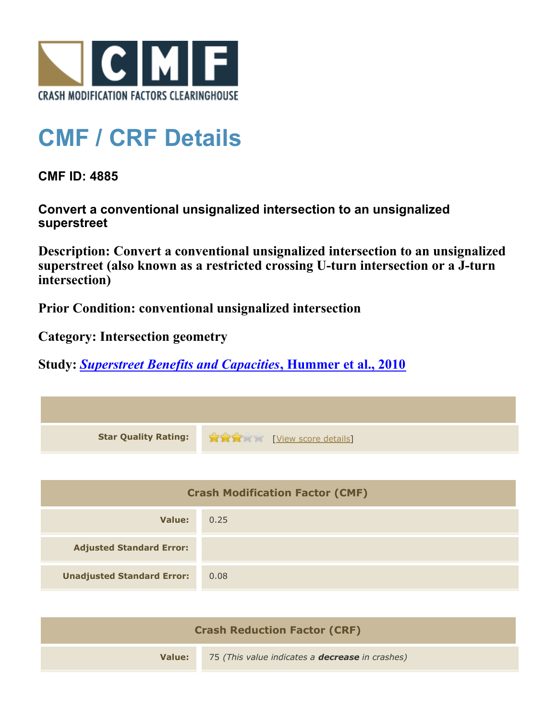

## **CMF / CRF Details**

**CMF ID: 4885**

**Convert a conventional unsignalized intersection to an unsignalized superstreet**

**Description: Convert a conventional unsignalized intersection to an unsignalized superstreet (also known as a restricted crossing U-turn intersection or a J-turn intersection)**

**Prior Condition: conventional unsignalized intersection**

**Category: Intersection geometry**

**Study:** *[Superstreet Benefits and Capacities](http://www.cmfclearinghouse.org/study_detail.cfm?stid=249)***[, Hummer et al., 2010](http://www.cmfclearinghouse.org/study_detail.cfm?stid=249)**

| <b>Star Quality Rating:</b>            | View score details |
|----------------------------------------|--------------------|
|                                        |                    |
| <b>Crash Modification Factor (CMF)</b> |                    |
| <b>Value:</b>                          | 0.25               |
| <b>Adjusted Standard Error:</b>        |                    |
| <b>Unadjusted Standard Error:</b>      | 0.08               |
|                                        |                    |

| <b>Crash Reduction Factor (CRF)</b> |                                                        |  |
|-------------------------------------|--------------------------------------------------------|--|
| Value: T                            | 75 (This value indicates a <b>decrease</b> in crashes) |  |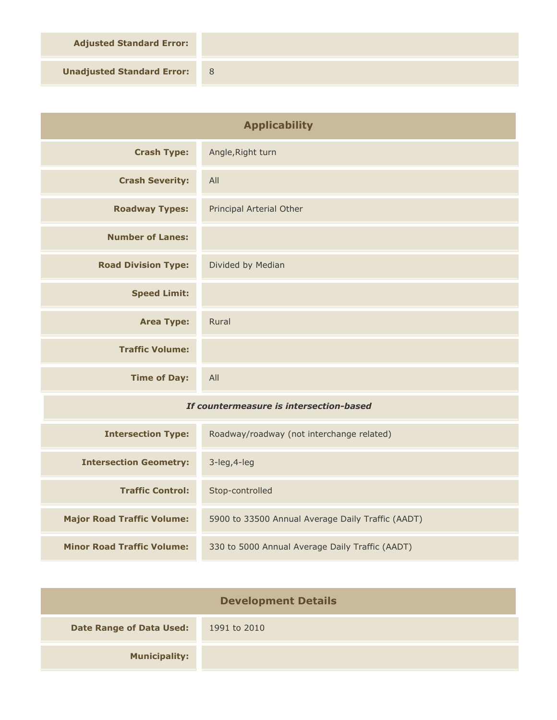**Adjusted Standard Error:**

**Unadjusted Standard Error:** 8

| <b>Applicability</b>                    |                                                   |
|-----------------------------------------|---------------------------------------------------|
| <b>Crash Type:</b>                      | Angle, Right turn                                 |
| <b>Crash Severity:</b>                  | All                                               |
| <b>Roadway Types:</b>                   | Principal Arterial Other                          |
| <b>Number of Lanes:</b>                 |                                                   |
| <b>Road Division Type:</b>              | Divided by Median                                 |
| <b>Speed Limit:</b>                     |                                                   |
| <b>Area Type:</b>                       | Rural                                             |
| <b>Traffic Volume:</b>                  |                                                   |
| <b>Time of Day:</b>                     | All                                               |
| If countermeasure is intersection-based |                                                   |
| <b>Intersection Type:</b>               | Roadway/roadway (not interchange related)         |
| <b>Intersection Geometry:</b>           | 3-leg, 4-leg                                      |
| <b>Traffic Control:</b>                 | Stop-controlled                                   |
| <b>Major Road Traffic Volume:</b>       | 5900 to 33500 Annual Average Daily Traffic (AADT) |
| <b>Minor Road Traffic Volume:</b>       | 330 to 5000 Annual Average Daily Traffic (AADT)   |

| <b>Development Details</b>      |              |
|---------------------------------|--------------|
| <b>Date Range of Data Used:</b> | 1991 to 2010 |
| <b>Municipality:</b>            |              |